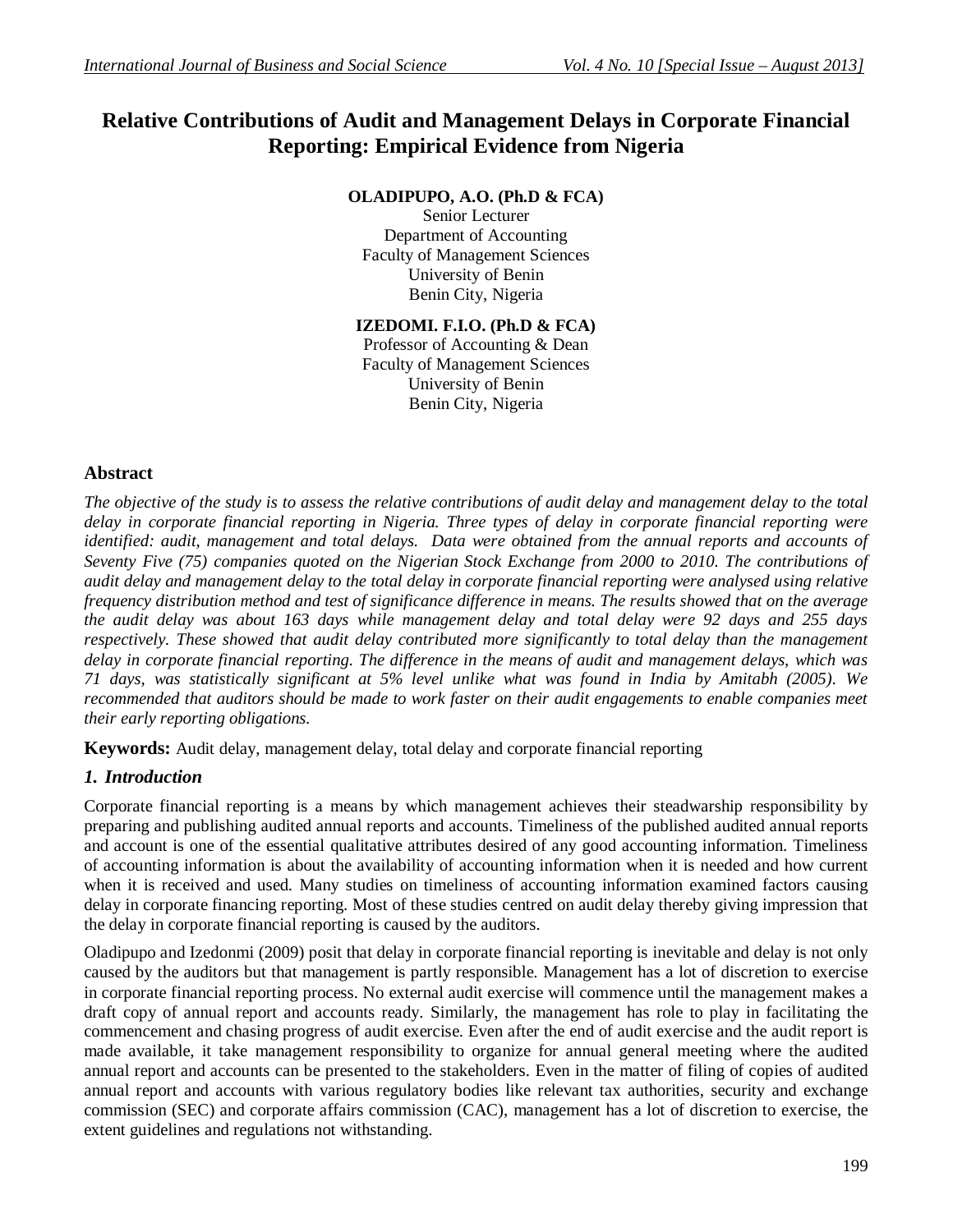# **Relative Contributions of Audit and Management Delays in Corporate Financial Reporting: Empirical Evidence from Nigeria**

## **OLADIPUPO, A.O. (Ph.D & FCA)**

Senior Lecturer Department of Accounting Faculty of Management Sciences University of Benin Benin City, Nigeria

# **IZEDOMI. F.I.O. (Ph.D & FCA)**

Professor of Accounting & Dean Faculty of Management Sciences University of Benin Benin City, Nigeria

## **Abstract**

*The objective of the study is to assess the relative contributions of audit delay and management delay to the total delay in corporate financial reporting in Nigeria. Three types of delay in corporate financial reporting were identified: audit, management and total delays. Data were obtained from the annual reports and accounts of Seventy Five (75) companies quoted on the Nigerian Stock Exchange from 2000 to 2010. The contributions of audit delay and management delay to the total delay in corporate financial reporting were analysed using relative frequency distribution method and test of significance difference in means. The results showed that on the average the audit delay was about 163 days while management delay and total delay were 92 days and 255 days respectively. These showed that audit delay contributed more significantly to total delay than the management delay in corporate financial reporting. The difference in the means of audit and management delays, which was 71 days, was statistically significant at 5% level unlike what was found in India by Amitabh (2005). We recommended that auditors should be made to work faster on their audit engagements to enable companies meet their early reporting obligations.* 

**Keywords:** Audit delay, management delay, total delay and corporate financial reporting

## *1. Introduction*

Corporate financial reporting is a means by which management achieves their steadwarship responsibility by preparing and publishing audited annual reports and accounts. Timeliness of the published audited annual reports and account is one of the essential qualitative attributes desired of any good accounting information. Timeliness of accounting information is about the availability of accounting information when it is needed and how current when it is received and used. Many studies on timeliness of accounting information examined factors causing delay in corporate financing reporting. Most of these studies centred on audit delay thereby giving impression that the delay in corporate financial reporting is caused by the auditors.

Oladipupo and Izedonmi (2009) posit that delay in corporate financial reporting is inevitable and delay is not only caused by the auditors but that management is partly responsible. Management has a lot of discretion to exercise in corporate financial reporting process. No external audit exercise will commence until the management makes a draft copy of annual report and accounts ready. Similarly, the management has role to play in facilitating the commencement and chasing progress of audit exercise. Even after the end of audit exercise and the audit report is made available, it take management responsibility to organize for annual general meeting where the audited annual report and accounts can be presented to the stakeholders. Even in the matter of filing of copies of audited annual report and accounts with various regulatory bodies like relevant tax authorities, security and exchange commission (SEC) and corporate affairs commission (CAC), management has a lot of discretion to exercise, the extent guidelines and regulations not withstanding.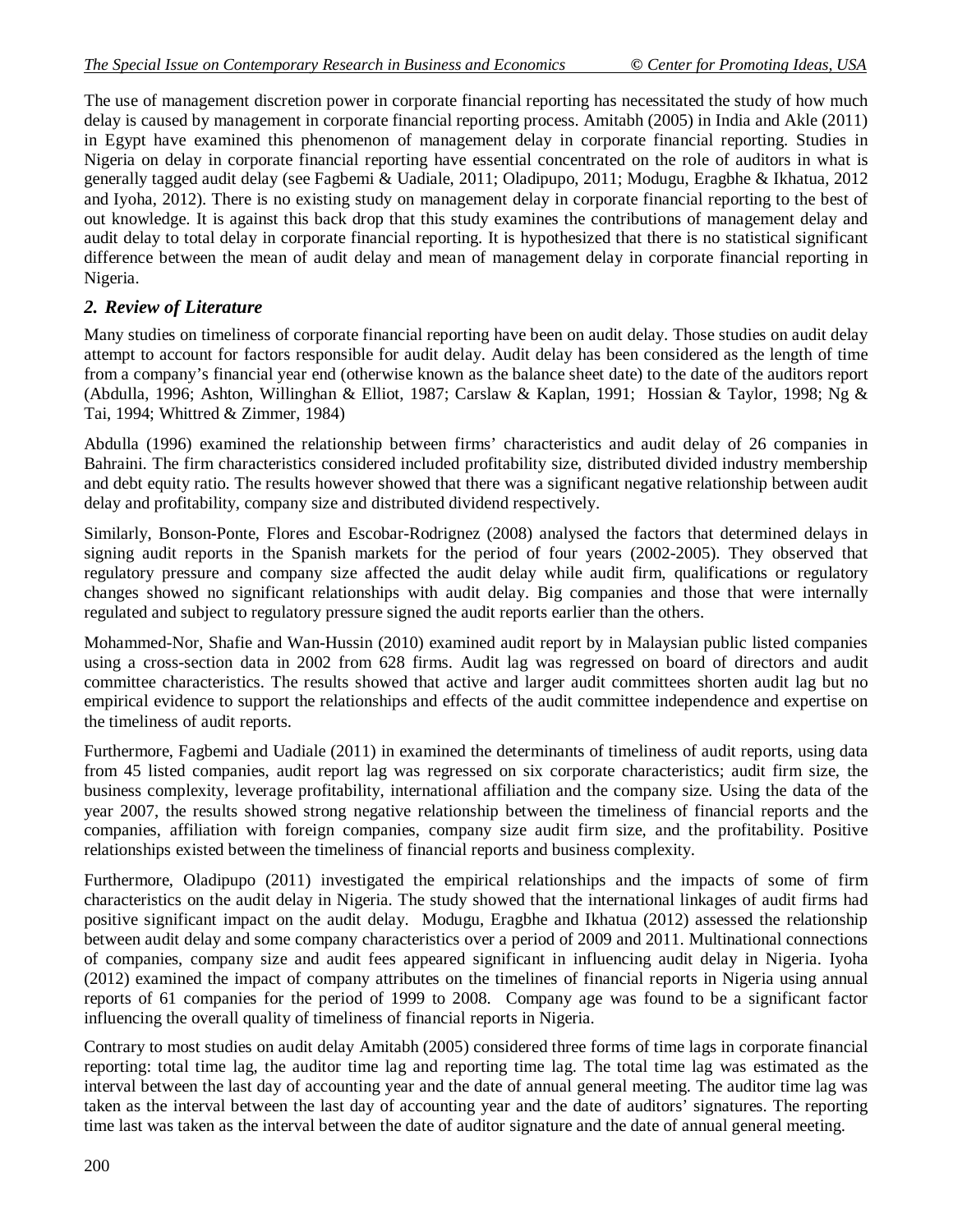The use of management discretion power in corporate financial reporting has necessitated the study of how much delay is caused by management in corporate financial reporting process. Amitabh (2005) in India and Akle (2011) in Egypt have examined this phenomenon of management delay in corporate financial reporting. Studies in Nigeria on delay in corporate financial reporting have essential concentrated on the role of auditors in what is generally tagged audit delay (see Fagbemi & Uadiale, 2011; Oladipupo, 2011; Modugu, Eragbhe & Ikhatua, 2012 and Iyoha, 2012). There is no existing study on management delay in corporate financial reporting to the best of out knowledge. It is against this back drop that this study examines the contributions of management delay and audit delay to total delay in corporate financial reporting. It is hypothesized that there is no statistical significant difference between the mean of audit delay and mean of management delay in corporate financial reporting in Nigeria.

## *2. Review of Literature*

Many studies on timeliness of corporate financial reporting have been on audit delay. Those studies on audit delay attempt to account for factors responsible for audit delay. Audit delay has been considered as the length of time from a company's financial year end (otherwise known as the balance sheet date) to the date of the auditors report (Abdulla, 1996; Ashton, Willinghan & Elliot, 1987; Carslaw & Kaplan, 1991; Hossian & Taylor, 1998; Ng & Tai, 1994; Whittred & Zimmer, 1984)

Abdulla (1996) examined the relationship between firms' characteristics and audit delay of 26 companies in Bahraini. The firm characteristics considered included profitability size, distributed divided industry membership and debt equity ratio. The results however showed that there was a significant negative relationship between audit delay and profitability, company size and distributed dividend respectively.

Similarly, Bonson-Ponte, Flores and Escobar-Rodrignez (2008) analysed the factors that determined delays in signing audit reports in the Spanish markets for the period of four years (2002-2005). They observed that regulatory pressure and company size affected the audit delay while audit firm, qualifications or regulatory changes showed no significant relationships with audit delay. Big companies and those that were internally regulated and subject to regulatory pressure signed the audit reports earlier than the others.

Mohammed-Nor, Shafie and Wan-Hussin (2010) examined audit report by in Malaysian public listed companies using a cross-section data in 2002 from 628 firms. Audit lag was regressed on board of directors and audit committee characteristics. The results showed that active and larger audit committees shorten audit lag but no empirical evidence to support the relationships and effects of the audit committee independence and expertise on the timeliness of audit reports.

Furthermore, Fagbemi and Uadiale (2011) in examined the determinants of timeliness of audit reports, using data from 45 listed companies, audit report lag was regressed on six corporate characteristics; audit firm size, the business complexity, leverage profitability, international affiliation and the company size. Using the data of the year 2007, the results showed strong negative relationship between the timeliness of financial reports and the companies, affiliation with foreign companies, company size audit firm size, and the profitability. Positive relationships existed between the timeliness of financial reports and business complexity.

Furthermore, Oladipupo (2011) investigated the empirical relationships and the impacts of some of firm characteristics on the audit delay in Nigeria. The study showed that the international linkages of audit firms had positive significant impact on the audit delay. Modugu, Eragbhe and Ikhatua (2012) assessed the relationship between audit delay and some company characteristics over a period of 2009 and 2011. Multinational connections of companies, company size and audit fees appeared significant in influencing audit delay in Nigeria. Iyoha (2012) examined the impact of company attributes on the timelines of financial reports in Nigeria using annual reports of 61 companies for the period of 1999 to 2008. Company age was found to be a significant factor influencing the overall quality of timeliness of financial reports in Nigeria.

Contrary to most studies on audit delay Amitabh (2005) considered three forms of time lags in corporate financial reporting: total time lag, the auditor time lag and reporting time lag. The total time lag was estimated as the interval between the last day of accounting year and the date of annual general meeting. The auditor time lag was taken as the interval between the last day of accounting year and the date of auditors' signatures. The reporting time last was taken as the interval between the date of auditor signature and the date of annual general meeting.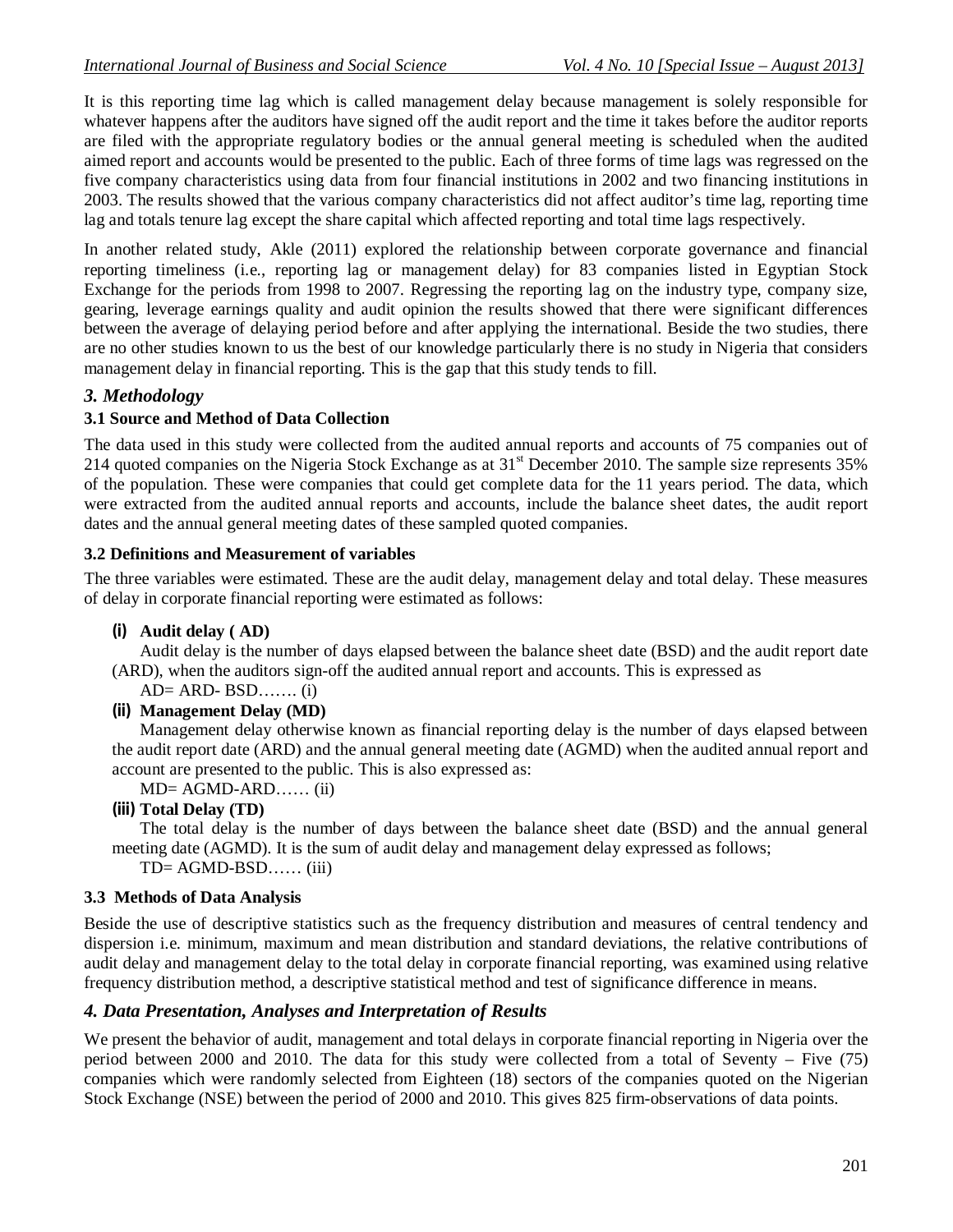It is this reporting time lag which is called management delay because management is solely responsible for whatever happens after the auditors have signed off the audit report and the time it takes before the auditor reports are filed with the appropriate regulatory bodies or the annual general meeting is scheduled when the audited aimed report and accounts would be presented to the public. Each of three forms of time lags was regressed on the five company characteristics using data from four financial institutions in 2002 and two financing institutions in 2003. The results showed that the various company characteristics did not affect auditor's time lag, reporting time lag and totals tenure lag except the share capital which affected reporting and total time lags respectively.

In another related study, Akle (2011) explored the relationship between corporate governance and financial reporting timeliness (i.e., reporting lag or management delay) for 83 companies listed in Egyptian Stock Exchange for the periods from 1998 to 2007. Regressing the reporting lag on the industry type, company size, gearing, leverage earnings quality and audit opinion the results showed that there were significant differences between the average of delaying period before and after applying the international. Beside the two studies, there are no other studies known to us the best of our knowledge particularly there is no study in Nigeria that considers management delay in financial reporting. This is the gap that this study tends to fill.

## *3. Methodology*

## **3.1 Source and Method of Data Collection**

The data used in this study were collected from the audited annual reports and accounts of 75 companies out of 214 quoted companies on the Nigeria Stock Exchange as at  $31<sup>st</sup>$  December 2010. The sample size represents  $35%$ of the population. These were companies that could get complete data for the 11 years period. The data, which were extracted from the audited annual reports and accounts, include the balance sheet dates, the audit report dates and the annual general meeting dates of these sampled quoted companies.

#### **3.2 Definitions and Measurement of variables**

The three variables were estimated. These are the audit delay, management delay and total delay. These measures of delay in corporate financial reporting were estimated as follows:

#### **(i) Audit delay ( AD)**

Audit delay is the number of days elapsed between the balance sheet date (BSD) and the audit report date (ARD), when the auditors sign-off the audited annual report and accounts. This is expressed as

- $AD = ARD BSD$ ....... (i)
- **(ii) Management Delay (MD)**

Management delay otherwise known as financial reporting delay is the number of days elapsed between the audit report date (ARD) and the annual general meeting date (AGMD) when the audited annual report and account are presented to the public. This is also expressed as:

 $MD = AGMD-ARD$ …… (ii)

#### **(iii) Total Delay (TD)**

The total delay is the number of days between the balance sheet date (BSD) and the annual general meeting date (AGMD). It is the sum of audit delay and management delay expressed as follows;

TD= AGMD-BSD…… (iii)

#### **3.3 Methods of Data Analysis**

Beside the use of descriptive statistics such as the frequency distribution and measures of central tendency and dispersion i.e. minimum, maximum and mean distribution and standard deviations, the relative contributions of audit delay and management delay to the total delay in corporate financial reporting, was examined using relative frequency distribution method, a descriptive statistical method and test of significance difference in means.

## *4. Data Presentation, Analyses and Interpretation of Results*

We present the behavior of audit, management and total delays in corporate financial reporting in Nigeria over the period between 2000 and 2010. The data for this study were collected from a total of Seventy – Five (75) companies which were randomly selected from Eighteen (18) sectors of the companies quoted on the Nigerian Stock Exchange (NSE) between the period of 2000 and 2010. This gives 825 firm-observations of data points.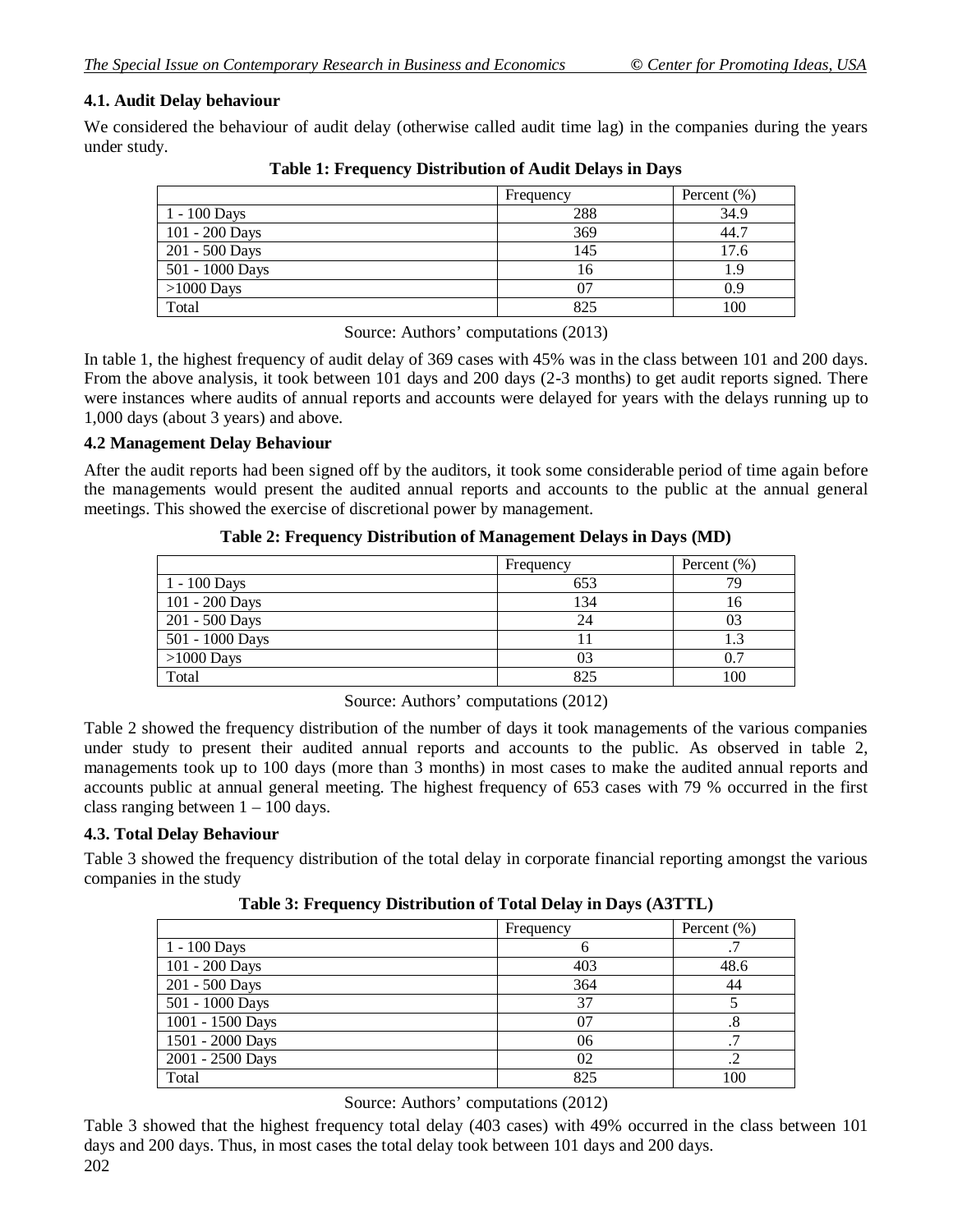## **4.1. Audit Delay behaviour**

We considered the behaviour of audit delay (otherwise called audit time lag) in the companies during the years under study.

|                 | Frequency | Percent $(\% )$ |  |
|-----------------|-----------|-----------------|--|
| 1 - 100 Days    | 288       | 34.9            |  |
| 101 - 200 Days  | 369       | 44.7            |  |
| 201 - 500 Days  | 145       | 17.6            |  |
| 501 - 1000 Days | 16        | 1.9             |  |
| $>1000$ Days    |           | 0.9             |  |
| Total           | 825       | 100             |  |

**Table 1: Frequency Distribution of Audit Delays in Days**

Source: Authors' computations (2013)

In table 1, the highest frequency of audit delay of 369 cases with 45% was in the class between 101 and 200 days. From the above analysis, it took between 101 days and 200 days (2-3 months) to get audit reports signed. There were instances where audits of annual reports and accounts were delayed for years with the delays running up to 1,000 days (about 3 years) and above.

#### **4.2 Management Delay Behaviour**

After the audit reports had been signed off by the auditors, it took some considerable period of time again before the managements would present the audited annual reports and accounts to the public at the annual general meetings. This showed the exercise of discretional power by management.

**Table 2: Frequency Distribution of Management Delays in Days (MD)**

|                 | Frequency | Percent $(\% )$ |  |
|-----------------|-----------|-----------------|--|
| $1 - 100$ Days  | 653       | 79              |  |
| 101 - 200 Days  | 134       | 10              |  |
| 201 - 500 Days  | 24        | 03              |  |
| 501 - 1000 Days |           | 1.3             |  |
| $>1000$ Days    | 03        | 0.7             |  |
| Total           | 825       | 100             |  |

Source: Authors' computations (2012)

Table 2 showed the frequency distribution of the number of days it took managements of the various companies under study to present their audited annual reports and accounts to the public. As observed in table 2, managements took up to 100 days (more than 3 months) in most cases to make the audited annual reports and accounts public at annual general meeting. The highest frequency of 653 cases with 79 % occurred in the first class ranging between  $1 - 100$  days.

#### **4.3. Total Delay Behaviour**

Table 3 showed the frequency distribution of the total delay in corporate financial reporting amongst the various companies in the study

**Table 3: Frequency Distribution of Total Delay in Days (A3TTL)**

|                  | Frequency | Percent $(\% )$ |  |
|------------------|-----------|-----------------|--|
| 1 - 100 Days     |           |                 |  |
| 101 - 200 Days   | 403       | 48.6            |  |
| 201 - 500 Days   | 364       | 44              |  |
| 501 - 1000 Days  | 37        |                 |  |
| 1001 - 1500 Days | 07        | .8              |  |
| 1501 - 2000 Days | 06        |                 |  |
| 2001 - 2500 Days | 02        |                 |  |
| Total            | 825       | 100             |  |

Source: Authors' computations (2012)

Table 3 showed that the highest frequency total delay (403 cases) with 49% occurred in the class between 101 days and 200 days. Thus, in most cases the total delay took between 101 days and 200 days.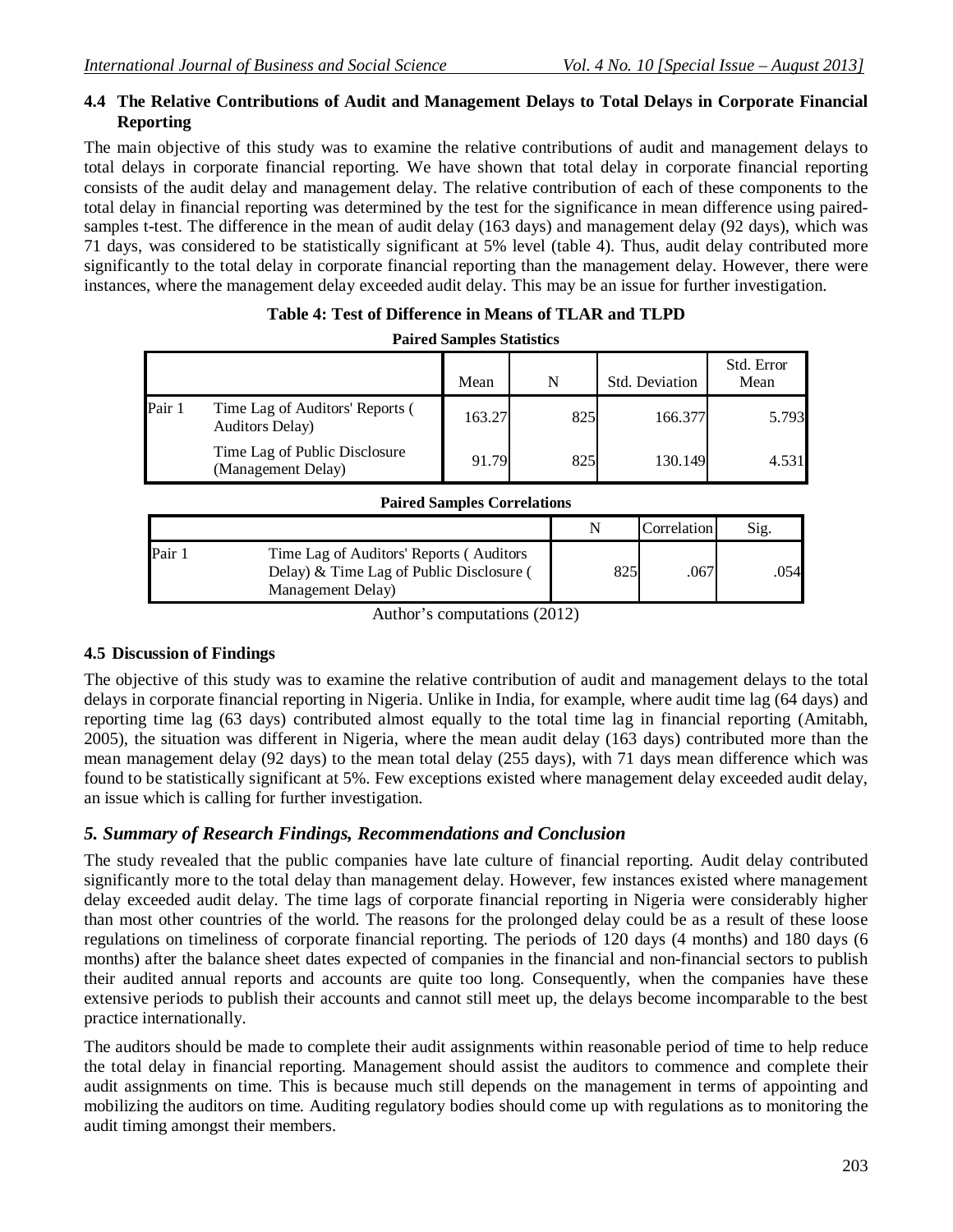#### **4.4 The Relative Contributions of Audit and Management Delays to Total Delays in Corporate Financial Reporting**

The main objective of this study was to examine the relative contributions of audit and management delays to total delays in corporate financial reporting. We have shown that total delay in corporate financial reporting consists of the audit delay and management delay. The relative contribution of each of these components to the total delay in financial reporting was determined by the test for the significance in mean difference using pairedsamples t-test. The difference in the mean of audit delay (163 days) and management delay (92 days), which was 71 days, was considered to be statistically significant at 5% level (table 4). Thus, audit delay contributed more significantly to the total delay in corporate financial reporting than the management delay. However, there were instances, where the management delay exceeded audit delay. This may be an issue for further investigation.

| <b>Paired Samples Statistics</b> |                                                           |        |     |                       |                    |
|----------------------------------|-----------------------------------------------------------|--------|-----|-----------------------|--------------------|
|                                  |                                                           | Mean   | N   | <b>Std. Deviation</b> | Std. Error<br>Mean |
| Pair 1                           | Time Lag of Auditors' Reports (<br><b>Auditors Delay)</b> | 163.27 | 825 | 166.377               | 5.793              |
|                                  | Time Lag of Public Disclosure<br>(Management Delay)       | 91.79  | 825 | 130.149               | 4.531              |

| Table 4: Test of Difference in Means of TLAR and TLPD |
|-------------------------------------------------------|
|                                                       |

|        | <b>Paired Samples Correlations</b>                                                                       |     |             |      |
|--------|----------------------------------------------------------------------------------------------------------|-----|-------------|------|
|        |                                                                                                          |     | Correlation | Sig. |
| Pair 1 | Time Lag of Auditors' Reports (Auditors<br>Delay) & Time Lag of Public Disclosure (<br>Management Delay) | 825 | .067        | .054 |
|        |                                                                                                          |     |             |      |

Author's computations (2012)

#### **4.5 Discussion of Findings**

The objective of this study was to examine the relative contribution of audit and management delays to the total delays in corporate financial reporting in Nigeria. Unlike in India, for example, where audit time lag (64 days) and reporting time lag (63 days) contributed almost equally to the total time lag in financial reporting (Amitabh, 2005), the situation was different in Nigeria, where the mean audit delay (163 days) contributed more than the mean management delay (92 days) to the mean total delay (255 days), with 71 days mean difference which was found to be statistically significant at 5%. Few exceptions existed where management delay exceeded audit delay, an issue which is calling for further investigation.

#### *5. Summary of Research Findings, Recommendations and Conclusion*

The study revealed that the public companies have late culture of financial reporting. Audit delay contributed significantly more to the total delay than management delay. However, few instances existed where management delay exceeded audit delay. The time lags of corporate financial reporting in Nigeria were considerably higher than most other countries of the world. The reasons for the prolonged delay could be as a result of these loose regulations on timeliness of corporate financial reporting. The periods of 120 days (4 months) and 180 days (6 months) after the balance sheet dates expected of companies in the financial and non-financial sectors to publish their audited annual reports and accounts are quite too long. Consequently, when the companies have these extensive periods to publish their accounts and cannot still meet up, the delays become incomparable to the best practice internationally.

The auditors should be made to complete their audit assignments within reasonable period of time to help reduce the total delay in financial reporting. Management should assist the auditors to commence and complete their audit assignments on time. This is because much still depends on the management in terms of appointing and mobilizing the auditors on time. Auditing regulatory bodies should come up with regulations as to monitoring the audit timing amongst their members.